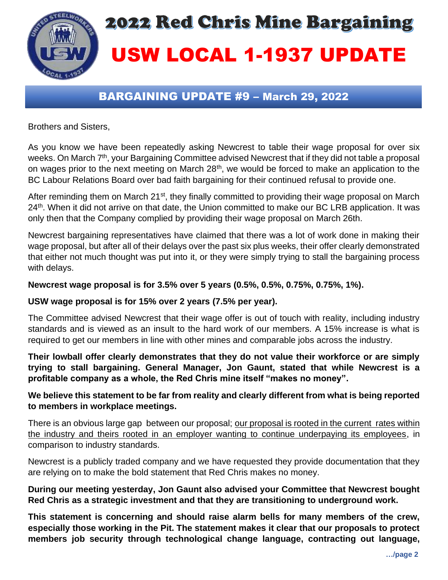

# BARGAINING UPDATE #9 – March 29, 2022

Brothers and Sisters,

As you know we have been repeatedly asking Newcrest to table their wage proposal for over six weeks. On March 7<sup>th</sup>, your Bargaining Committee advised Newcrest that if they did not table a proposal on wages prior to the next meeting on March 28<sup>th</sup>, we would be forced to make an application to the BC Labour Relations Board over bad faith bargaining for their continued refusal to provide one.

After reminding them on March 21<sup>st</sup>, they finally committed to providing their wage proposal on March 24<sup>th</sup>. When it did not arrive on that date, the Union committed to make our BC LRB application. It was only then that the Company complied by providing their wage proposal on March 26th.

Newcrest bargaining representatives have claimed that there was a lot of work done in making their wage proposal, but after all of their delays over the past six plus weeks, their offer clearly demonstrated that either not much thought was put into it, or they were simply trying to stall the bargaining process with delays.

#### **Newcrest wage proposal is for 3.5% over 5 years (0.5%, 0.5%, 0.75%, 0.75%, 1%).**

### **USW wage proposal is for 15% over 2 years (7.5% per year).**

The Committee advised Newcrest that their wage offer is out of touch with reality, including industry standards and is viewed as an insult to the hard work of our members. A 15% increase is what is required to get our members in line with other mines and comparable jobs across the industry.

**Their lowball offer clearly demonstrates that they do not value their workforce or are simply trying to stall bargaining. General Manager, Jon Gaunt, stated that while Newcrest is a profitable company as a whole, the Red Chris mine itself "makes no money".**

## **We believe this statement to be far from reality and clearly different from what is being reported to members in workplace meetings.**

There is an obvious large gap between our proposal; our proposal is rooted in the current rates within the industry and theirs rooted in an employer wanting to continue underpaying its employees, in comparison to industry standards.

Newcrest is a publicly traded company and we have requested they provide documentation that they are relying on to make the bold statement that Red Chris makes no money.

## **During our meeting yesterday, Jon Gaunt also advised your Committee that Newcrest bought Red Chris as a strategic investment and that they are transitioning to underground work.**

**This statement is concerning and should raise alarm bells for many members of the crew, especially those working in the Pit. The statement makes it clear that our proposals to protect members job security through technological change language, contracting out language,**